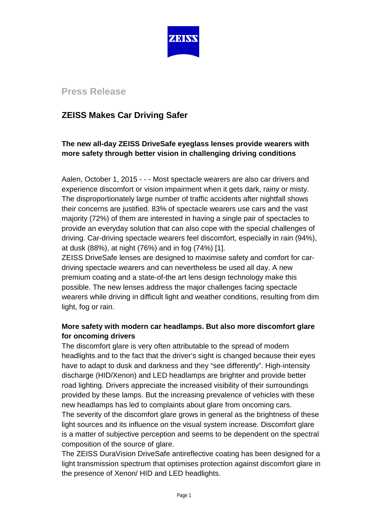

# **Press Release**

# **ZEISS Makes Car Driving Safer**

# **The new all-day ZEISS DriveSafe eyeglass lenses provide wearers with more safety through better vision in challenging driving conditions**

Aalen, October 1, 2015 - - - Most spectacle wearers are also car drivers and experience discomfort or vision impairment when it gets dark, rainy or misty. The disproportionately large number of traffic accidents after nightfall shows their concerns are justified. 83% of spectacle wearers use cars and the vast majority (72%) of them are interested in having a single pair of spectacles to provide an everyday solution that can also cope with the special challenges of driving. Car-driving spectacle wearers feel discomfort, especially in rain (94%), at dusk (88%), at night (76%) and in fog (74%) [1].

ZEISS DriveSafe lenses are designed to maximise safety and comfort for cardriving spectacle wearers and can nevertheless be used all day. A new premium coating and a state-of-the art lens design technology make this possible. The new lenses address the major challenges facing spectacle wearers while driving in difficult light and weather conditions, resulting from dim light, fog or rain.

## **More safety with modern car headlamps. But also more discomfort glare for oncoming drivers**

The discomfort glare is very often attributable to the spread of modern headlights and to the fact that the driver's sight is changed because their eyes have to adapt to dusk and darkness and they "see differently". High-intensity discharge (HID/Xenon) and LED headlamps are brighter and provide better road lighting. Drivers appreciate the increased visibility of their surroundings provided by these lamps. But the increasing prevalence of vehicles with these new headlamps has led to complaints about glare from oncoming cars. The severity of the discomfort glare grows in general as the brightness of these light sources and its influence on the visual system increase. Discomfort glare is a matter of subjective perception and seems to be dependent on the spectral composition of the source of glare.

The ZEISS DuraVision DriveSafe antireflective coating has been designed for a light transmission spectrum that optimises protection against discomfort glare in the presence of Xenon/ HID and LED headlights.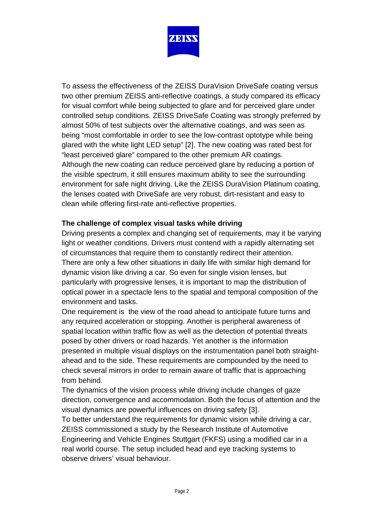

To assess the effectiveness of the ZEISS DuraVision DriveSafe coating versus two other premium ZEISS anti-reflective coatings, a study compared its efficacy for visual comfort while being subjected to glare and for perceived glare under controlled setup conditions. ZEISS DriveSafe Coating was strongly preferred by almost 50% of test subjects over the alternative coatings, and was seen as being "most comfortable in order to see the low-contrast optotype while being glared with the white light LED setup" [2]. The new coating was rated best for "least perceived glare" compared to the other premium AR coatings. Although the new coating can reduce perceived glare by reducing a portion of the visible spectrum, it still ensures maximum ability to see the surrounding environment for safe night driving. Like the ZEISS DuraVision Platinum coating, the lenses coated with DriveSafe are very robust, dirt-resistant and easy to clean while offering first-rate anti-reflective properties.

## **The challenge of complex visual tasks while driving**

Driving presents a complex and changing set of requirements, may it be varying light or weather conditions. Drivers must contend with a rapidly alternating set of circumstances that require them to constantly redirect their attention. There are only a few other situations in daily life with similar high demand for dynamic vision like driving a car. So even for single vision lenses, but particularly with progressive lenses, it is important to map the distribution of optical power in a spectacle lens to the spatial and temporal composition of the environment and tasks.

One requirement is the view of the road ahead to anticipate future turns and any required acceleration or stopping. Another is peripheral awareness of spatial location within traffic flow as well as the detection of potential threats posed by other drivers or road hazards. Yet another is the information presented in multiple visual displays on the instrumentation panel both straightahead and to the side. These requirements are compounded by the need to check several mirrors in order to remain aware of traffic that is approaching from behind.

The dynamics of the vision process while driving include changes of gaze direction, convergence and accommodation. Both the focus of attention and the visual dynamics are powerful influences on driving safety [3].

To better understand the requirements for dynamic vision while driving a car, ZEISS commissioned a study by the Research Institute of Automotive Engineering and Vehicle Engines Stuttgart (FKFS) using a modified car in a real world course. The setup included head and eye tracking systems to observe drivers' visual behaviour.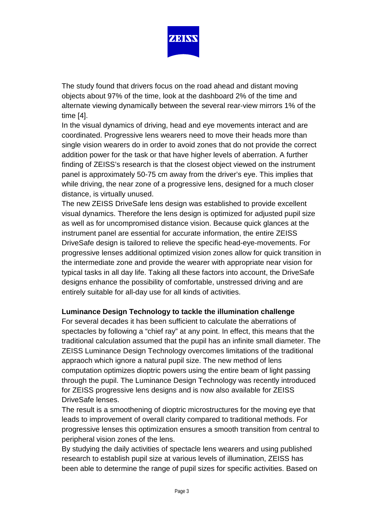

The study found that drivers focus on the road ahead and distant moving objects about 97% of the time, look at the dashboard 2% of the time and alternate viewing dynamically between the several rear-view mirrors 1% of the time [4].

In the visual dynamics of driving, head and eye movements interact and are coordinated. Progressive lens wearers need to move their heads more than single vision wearers do in order to avoid zones that do not provide the correct addition power for the task or that have higher levels of aberration. A further finding of ZEISS's research is that the closest object viewed on the instrument panel is approximately 50-75 cm away from the driver's eye. This implies that while driving, the near zone of a progressive lens, designed for a much closer distance, is virtually unused.

The new ZEISS DriveSafe lens design was established to provide excellent visual dynamics. Therefore the lens design is optimized for adjusted pupil size as well as for uncompromised distance vision. Because quick glances at the instrument panel are essential for accurate information, the entire ZEISS DriveSafe design is tailored to relieve the specific head-eye-movements. For progressive lenses additional optimized vision zones allow for quick transition in the intermediate zone and provide the wearer with appropriate near vision for typical tasks in all day life. Taking all these factors into account, the DriveSafe designs enhance the possibility of comfortable, unstressed driving and are entirely suitable for all-day use for all kinds of activities.

### **Luminance Design Technology to tackle the illumination challenge**

For several decades it has been sufficient to calculate the aberrations of spectacles by following a "chief ray" at any point. In effect, this means that the traditional calculation assumed that the pupil has an infinite small diameter. The ZEISS Luminance Design Technology overcomes limitations of the traditional appraoch which ignore a natural pupil size. The new method of lens computation optimizes dioptric powers using the entire beam of light passing through the pupil. The Luminance Design Technology was recently introduced for ZEISS progressive lens designs and is now also available for ZEISS DriveSafe lenses.

The result is a smoothening of dioptric microstructures for the moving eye that leads to improvement of overall clarity compared to traditional methods. For progressive lenses this optimization ensures a smooth transition from central to peripheral vision zones of the lens.

By studying the daily activities of spectacle lens wearers and using published research to establish pupil size at various levels of illumination, ZEISS has been able to determine the range of pupil sizes for specific activities. Based on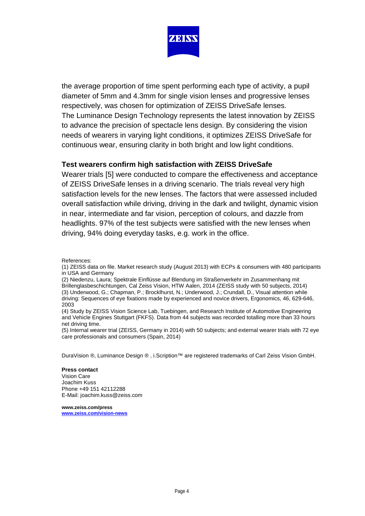

the average proportion of time spent performing each type of activity, a pupil diameter of 5mm and 4.3mm for single vision lenses and progressive lenses respectively, was chosen for optimization of ZEISS DriveSafe lenses. The Luminance Design Technology represents the latest innovation by ZEISS to advance the precision of spectacle lens design. By considering the vision needs of wearers in varying light conditions, it optimizes ZEISS DriveSafe for continuous wear, ensuring clarity in both bright and low light conditions.

### **Test wearers confirm high satisfaction with ZEISS DriveSafe**

Wearer trials [5] were conducted to compare the effectiveness and acceptance of ZEISS DriveSafe lenses in a driving scenario. The trials reveal very high satisfaction levels for the new lenses. The factors that were assessed included overall satisfaction while driving, driving in the dark and twilight, dynamic vision in near, intermediate and far vision, perception of colours, and dazzle from headlights. 97% of the test subjects were satisfied with the new lenses when driving, 94% doing everyday tasks, e.g. work in the office.

- (1) ZEISS data on file. Market research study (August 2013) with ECPs & consumers with 480 participants in USA and Germany
- (2) Niedenzu, Laura; Spektrale Einflüsse auf Blendung im Straßenverkehr im Zusammenhang mit Brillenglasbeschichtungen, Cal Zeiss Vision, HTW Aalen, 2014 (ZEISS study with 50 subjects, 2014) (3) Underwood, G.; Chapman, P.; Brocklhurst, N.; Underwood, J.; Crundall, D., Visual attention while driving: Sequences of eye fixations made by experienced and novice drivers, Ergonomics, 46, 629-646, 2003

(4) Study by ZEISS Vision Science Lab, Tuebingen, and Research Institute of Automotive Engineering and Vehicle Engines Stuttgart (FKFS). Data from 44 subjects was recorded totalling more than 33 hours net driving time.

(5) Internal wearer trial (ZEISS, Germany in 2014) with 50 subjects; and external wearer trials with 72 eye care professionals and consumers (Spain, 2014)

DuraVision ®, Luminance Design ® , i.Scription™ are registered trademarks of Carl Zeiss Vision GmbH.

### **Press contact**

Vision Care Joachim Kuss Phone +49 151 42112288 E-Mail: joachim.kuss@zeiss.com

**[www.zeiss.com/press](http://www.zeiss.com/press) [www.zeiss.com/vision-news](http://www.zeiss.com/vision-news)**

References: